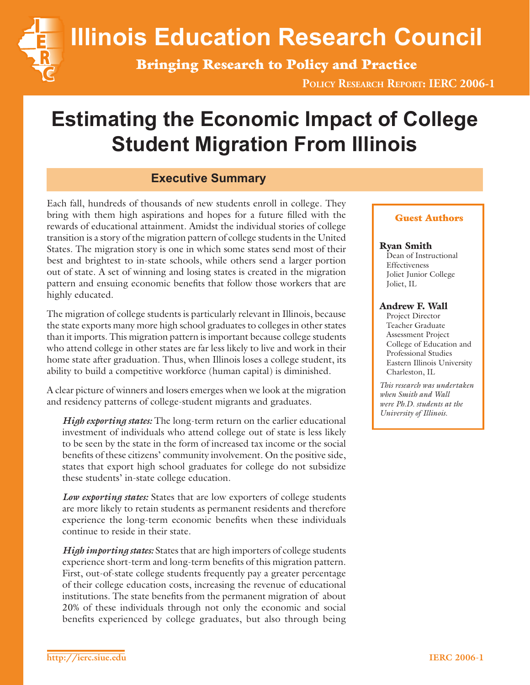**Illinois Education Research Council**

**Bringing Research to Policy and Practice**

**POLICY RESEARCH REPORT: IERC 2006-1**

# **Estimating the Economic Impact of College Student Migration From Illinois**

# **Executive Summary**

Each fall, hundreds of thousands of new students enroll in college. They bring with them high aspirations and hopes for a future filled with the rewards of educational attainment. Amidst the individual stories of college transition is a story of the migration pattern of college students in the United States. The migration story is one in which some states send most of their best and brightest to in-state schools, while others send a larger portion out of state. A set of winning and losing states is created in the migration pattern and ensuing economic benefits that follow those workers that are highly educated.

The migration of college students is particularly relevant in Illinois, because the state exports many more high school graduates to colleges in other states than it imports. This migration pattern is important because college students who attend college in other states are far less likely to live and work in their home state after graduation. Thus, when Illinois loses a college student, its ability to build a competitive workforce (human capital) is diminished.

A clear picture of winners and losers emerges when we look at the migration and residency patterns of college-student migrants and graduates.

*High exporting states:* The long-term return on the earlier educational investment of individuals who attend college out of state is less likely to be seen by the state in the form of increased tax income or the social benefits of these citizens' community involvement. On the positive side, states that export high school graduates for college do not subsidize these students' in-state college education.

*Low exporting states:* States that are low exporters of college students are more likely to retain students as permanent residents and therefore experience the long-term economic benefits when these individuals continue to reside in their state.

*High importing states:* States that are high importers of college students experience short-term and long-term benefits of this migration pattern. First, out-of-state college students frequently pay a greater percentage of their college education costs, increasing the revenue of educational institutions. The state benefits from the permanent migration of about 20% of these individuals through not only the economic and social benefits experienced by college graduates, but also through being

#### **Guest Authors**

#### **Ryan Smith**

Dean of Instructional Effectiveness Joliet Junior College Joliet, IL

#### **Andrew F. Wall**

Project Director Teacher Graduate Assessment Project College of Education and Professional Studies Eastern Illinois University Charleston, IL

*This research was undertaken when Smith and Wall were Ph.D. students at the University of Illinois.*

**I E R C**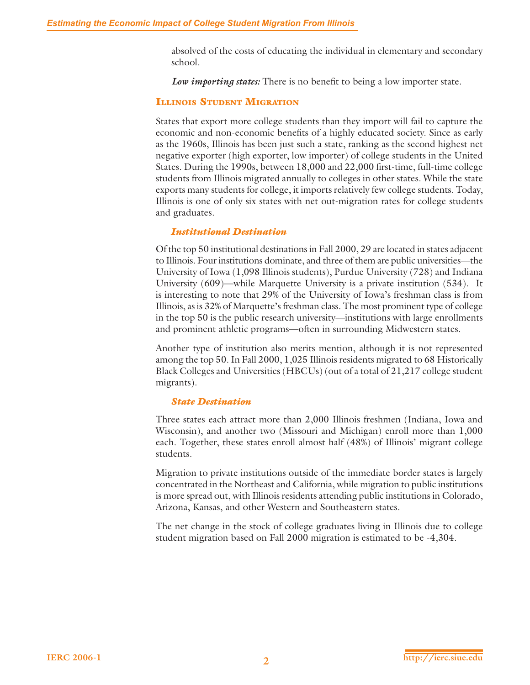absolved of the costs of educating the individual in elementary and secondary school.

*Low importing states:* There is no benefit to being a low importer state.

#### **ILLINOIS STUDENT MIGRATION**

States that export more college students than they import will fail to capture the economic and non-economic benefits of a highly educated society. Since as early as the 1960s, Illinois has been just such a state, ranking as the second highest net negative exporter (high exporter, low importer) of college students in the United States. During the 1990s, between 18,000 and 22,000 first-time, full-time college students from Illinois migrated annually to colleges in other states. While the state exports many students for college, it imports relatively few college students. Today, Illinois is one of only six states with net out-migration rates for college students and graduates.

#### *Institutional Destination*

Of the top 50 institutional destinations in Fall 2000, 29 are located in states adjacent to Illinois. Four institutions dominate, and three of them are public universities—the University of Iowa (1,098 Illinois students), Purdue University (728) and Indiana University (609)—while Marquette University is a private institution (534). It is interesting to note that 29% of the University of Iowa's freshman class is from Illinois, as is 32% of Marquette's freshman class. The most prominent type of college in the top 50 is the public research university—institutions with large enrollments and prominent athletic programs—often in surrounding Midwestern states.

Another type of institution also merits mention, although it is not represented among the top 50. In Fall 2000, 1,025 Illinois residents migrated to 68 Historically Black Colleges and Universities (HBCUs) (out of a total of 21,217 college student migrants).

#### *State Destination*

Three states each attract more than 2,000 Illinois freshmen (Indiana, Iowa and Wisconsin), and another two (Missouri and Michigan) enroll more than 1,000 each. Together, these states enroll almost half (48%) of Illinois' migrant college students.

Migration to private institutions outside of the immediate border states is largely concentrated in the Northeast and California, while migration to public institutions is more spread out, with Illinois residents attending public institutions in Colorado, Arizona, Kansas, and other Western and Southeastern states.

The net change in the stock of college graduates living in Illinois due to college student migration based on Fall 2000 migration is estimated to be -4,304.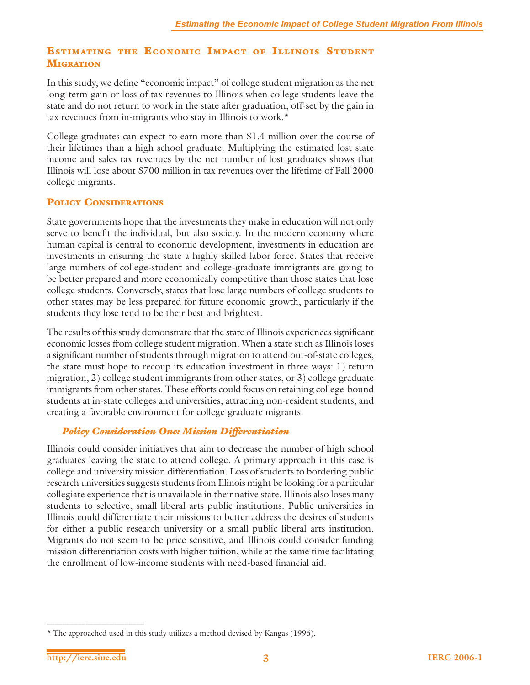# **ESTIMATING THE ECONOMIC IMPACT OF ILLINOIS STUDENT MIGRATION**

In this study, we define "economic impact" of college student migration as the net long-term gain or loss of tax revenues to Illinois when college students leave the state and do not return to work in the state after graduation, off-set by the gain in tax revenues from in-migrants who stay in Illinois to work.\*

College graduates can expect to earn more than \$1.4 million over the course of their lifetimes than a high school graduate. Multiplying the estimated lost state income and sales tax revenues by the net number of lost graduates shows that Illinois will lose about \$700 million in tax revenues over the lifetime of Fall 2000 college migrants.

## **POLICY CONSIDERATIONS**

State governments hope that the investments they make in education will not only serve to benefit the individual, but also society. In the modern economy where human capital is central to economic development, investments in education are investments in ensuring the state a highly skilled labor force. States that receive large numbers of college-student and college-graduate immigrants are going to be better prepared and more economically competitive than those states that lose college students. Conversely, states that lose large numbers of college students to other states may be less prepared for future economic growth, particularly if the students they lose tend to be their best and brightest.

The results of this study demonstrate that the state of Illinois experiences significant economic losses from college student migration. When a state such as Illinois loses a significant number of students through migration to attend out-of-state colleges, the state must hope to recoup its education investment in three ways: 1) return migration, 2) college student immigrants from other states, or 3) college graduate immigrants from other states. These efforts could focus on retaining college-bound students at in-state colleges and universities, attracting non-resident students, and creating a favorable environment for college graduate migrants.

## *Policy Consideration One: Mission Differentiation*

Illinois could consider initiatives that aim to decrease the number of high school graduates leaving the state to attend college. A primary approach in this case is college and university mission differentiation. Loss of students to bordering public research universities suggests students from Illinois might be looking for a particular collegiate experience that is unavailable in their native state. Illinois also loses many students to selective, small liberal arts public institutions. Public universities in Illinois could differentiate their missions to better address the desires of students for either a public research university or a small public liberal arts institution. Migrants do not seem to be price sensitive, and Illinois could consider funding mission differentiation costs with higher tuition, while at the same time facilitating the enrollment of low-income students with need-based financial aid.

<sup>\*</sup> The approached used in this study utilizes a method devised by Kangas (1996).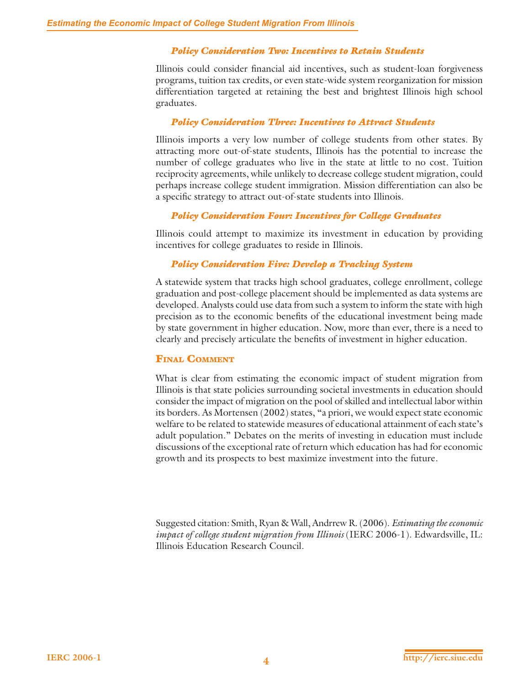#### *Policy Consideration Two: Incentives to Retain Students*

Illinois could consider financial aid incentives, such as student-loan forgiveness programs, tuition tax credits, or even state-wide system reorganization for mission differentiation targeted at retaining the best and brightest Illinois high school graduates.

#### *Policy Consideration Three: Incentives to Attract Students*

Illinois imports a very low number of college students from other states. By attracting more out-of-state students, Illinois has the potential to increase the number of college graduates who live in the state at little to no cost. Tuition reciprocity agreements, while unlikely to decrease college student migration, could perhaps increase college student immigration. Mission differentiation can also be a specific strategy to attract out-of-state students into Illinois.

#### *Policy Consideration Four: Incentives for College Graduates*

Illinois could attempt to maximize its investment in education by providing incentives for college graduates to reside in Illinois.

## *Policy Consideration Five: Develop a Tracking System*

A statewide system that tracks high school graduates, college enrollment, college graduation and post-college placement should be implemented as data systems are developed. Analysts could use data from such a system to inform the state with high precision as to the economic benefits of the educational investment being made by state government in higher education. Now, more than ever, there is a need to clearly and precisely articulate the benefits of investment in higher education.

## **FINAL COMMENT**

What is clear from estimating the economic impact of student migration from Illinois is that state policies surrounding societal investments in education should consider the impact of migration on the pool of skilled and intellectual labor within its borders. As Mortensen (2002) states, "a priori, we would expect state economic welfare to be related to statewide measures of educational attainment of each state's adult population." Debates on the merits of investing in education must include discussions of the exceptional rate of return which education has had for economic growth and its prospects to best maximize investment into the future.

Suggested citation: Smith, Ryan & Wall, Andrrew R. (2006). *Estimating the economic impact of college student migration from Illinois* (IERC 2006-1). Edwardsville, IL: Illinois Education Research Council.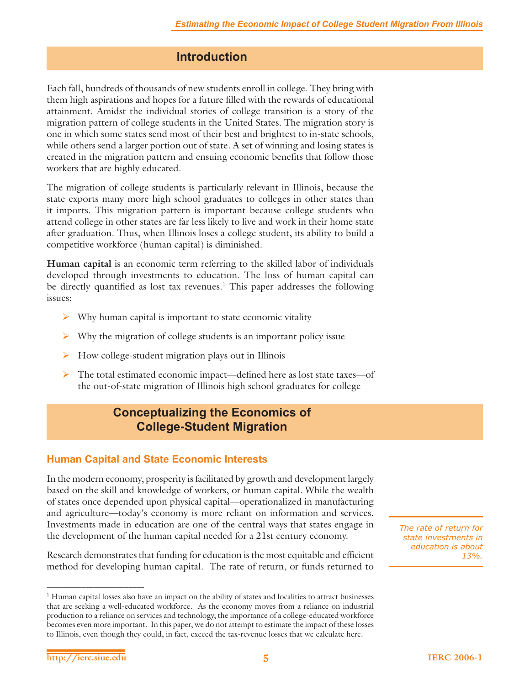# **Introduction**

Each fall, hundreds of thousands of new students enroll in college. They bring with them high aspirations and hopes for a future filled with the rewards of educational attainment. Amidst the individual stories of college transition is a story of the migration pattern of college students in the United States. The migration story is one in which some states send most of their best and brightest to in-state schools, while others send a larger portion out of state. A set of winning and losing states is created in the migration pattern and ensuing economic benefits that follow those workers that are highly educated.

The migration of college students is particularly relevant in Illinois, because the state exports many more high school graduates to colleges in other states than it imports. This migration pattern is important because college students who attend college in other states are far less likely to live and work in their home state after graduation. Thus, when Illinois loses a college student, its ability to build a competitive workforce (human capital) is diminished.

**Human capital** is an economic term referring to the skilled labor of individuals developed through investments to education. The loss of human capital can be directly quantified as lost tax revenues.<sup>1</sup> This paper addresses the following issues:

- $\triangleright$  Why human capital is important to state economic vitality
- $\triangleright$  Why the migration of college students is an important policy issue
- $\triangleright$  How college-student migration plays out in Illinois
- $\triangleright$  The total estimated economic impact—defined here as lost state taxes—of the out-of-state migration of Illinois high school graduates for college

# **Conceptualizing the Economics of College-Student Migration**

# **Human Capital and State Economic Interests**

In the modern economy, prosperity is facilitated by growth and development largely based on the skill and knowledge of workers, or human capital. While the wealth of states once depended upon physical capital—operationalized in manufacturing and agriculture—today's economy is more reliant on information and services. Investments made in education are one of the central ways that states engage in the development of the human capital needed for a 21st century economy.

Research demonstrates that funding for education is the most equitable and efficient method for developing human capital. The rate of return, or funds returned to

*The rate of return for state investments in education is about 13%.*

<sup>1</sup> Human capital losses also have an impact on the ability of states and localities to attract businesses that are seeking a well-educated workforce. As the economy moves from a reliance on industrial production to a reliance on services and technology, the importance of a college-educated workforce becomes even more important. In this paper, we do not attempt to estimate the impact of these losses to Illinois, even though they could, in fact, exceed the tax-revenue losses that we calculate here.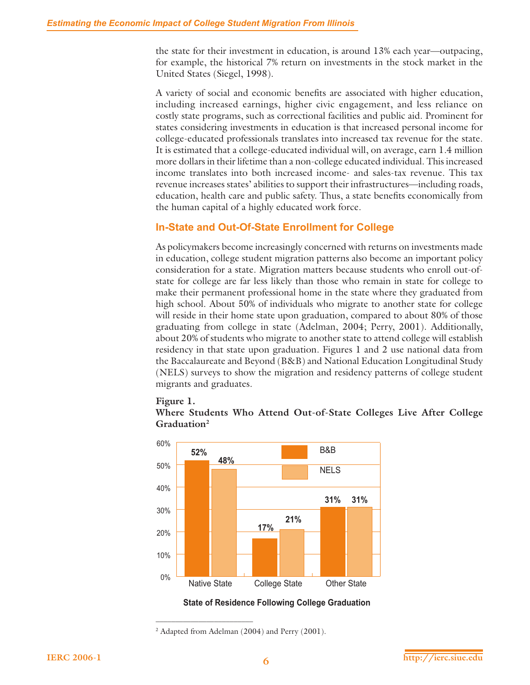the state for their investment in education, is around 13% each year—outpacing, for example, the historical 7% return on investments in the stock market in the United States (Siegel, 1998).

A variety of social and economic benefits are associated with higher education, including increased earnings, higher civic engagement, and less reliance on costly state programs, such as correctional facilities and public aid. Prominent for states considering investments in education is that increased personal income for college-educated professionals translates into increased tax revenue for the state. It is estimated that a college-educated individual will, on average, earn 1.4 million more dollars in their lifetime than a non-college educated individual. This increased income translates into both increased income- and sales-tax revenue. This tax revenue increases states' abilities to support their infrastructures—including roads, education, health care and public safety. Thus, a state benefits economically from the human capital of a highly educated work force.

# **In-State and Out-Of-State Enrollment for College**

As policymakers become increasingly concerned with returns on investments made in education, college student migration patterns also become an important policy consideration for a state. Migration matters because students who enroll out-ofstate for college are far less likely than those who remain in state for college to make their permanent professional home in the state where they graduated from high school. About 50% of individuals who migrate to another state for college will reside in their home state upon graduation, compared to about 80% of those graduating from college in state (Adelman, 2004; Perry, 2001). Additionally, about 20% of students who migrate to another state to attend college will establish residency in that state upon graduation. Figures 1 and 2 use national data from the Baccalaureate and Beyond (B&B) and National Education Longitudinal Study (NELS) surveys to show the migration and residency patterns of college student migrants and graduates.

#### **Figure 1.**





**State of Residence Following College Graduation**

<sup>2</sup> Adapted from Adelman (2004) and Perry (2001).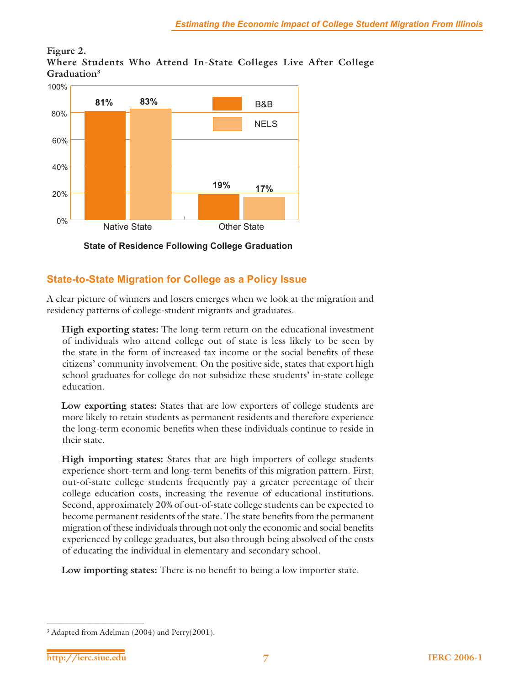## **Figure 2. Where Students Who Attend In-State Colleges Live After College Graduation3**



**State of Residence Following College Graduation**

# **State-to-State Migration for College as a Policy Issue**

A clear picture of winners and losers emerges when we look at the migration and residency patterns of college-student migrants and graduates.

**High exporting states:** The long-term return on the educational investment of individuals who attend college out of state is less likely to be seen by the state in the form of increased tax income or the social benefits of these citizens' community involvement. On the positive side, states that export high school graduates for college do not subsidize these students' in-state college education.

**Low exporting states:** States that are low exporters of college students are more likely to retain students as permanent residents and therefore experience the long-term economic benefits when these individuals continue to reside in their state.

**High importing states:** States that are high importers of college students experience short-term and long-term benefits of this migration pattern. First, out-of-state college students frequently pay a greater percentage of their college education costs, increasing the revenue of educational institutions. Second, approximately 20% of out-of-state college students can be expected to become permanent residents of the state. The state benefits from the permanent migration of these individuals through not only the economic and social benefits experienced by college graduates, but also through being absolved of the costs of educating the individual in elementary and secondary school.

Low importing states: There is no benefit to being a low importer state.

<sup>3</sup> Adapted from Adelman (2004) and Perry(2001).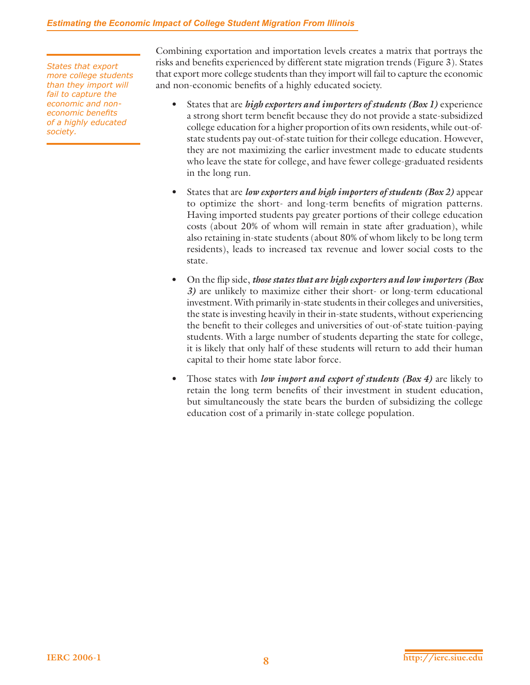#### *Estimating the Economic Impact of College Student Migration From Illinois*

*States that export more college students than they import will fail to capture the economic and noneconomic benefits of a highly educated society.*

Combining exportation and importation levels creates a matrix that portrays the risks and benefits experienced by different state migration trends (Figure 3). States that export more college students than they import will fail to capture the economic and non-economic benefits of a highly educated society.

- States that are *high exporters and importers of students (Box 1)* experience a strong short term benefit because they do not provide a state-subsidized college education for a higher proportion of its own residents, while out-ofstate students pay out-of-state tuition for their college education. However, they are not maximizing the earlier investment made to educate students who leave the state for college, and have fewer college-graduated residents in the long run.
- States that are *low exporters and high importers of students (Box 2)* appear to optimize the short- and long-term benefits of migration patterns. Having imported students pay greater portions of their college education costs (about 20% of whom will remain in state after graduation), while also retaining in-state students (about 80% of whom likely to be long term residents), leads to increased tax revenue and lower social costs to the state.
- On the flip side, *those states that are high exporters and low importers (Box*) *3)* are unlikely to maximize either their short- or long-term educational investment. With primarily in-state students in their colleges and universities, the state is investing heavily in their in-state students, without experiencing the benefit to their colleges and universities of out-of-state tuition-paying students. With a large number of students departing the state for college, it is likely that only half of these students will return to add their human capital to their home state labor force.
- Those states with *low import and export of students (Box 4)* are likely to retain the long term benefits of their investment in student education, but simultaneously the state bears the burden of subsidizing the college education cost of a primarily in-state college population.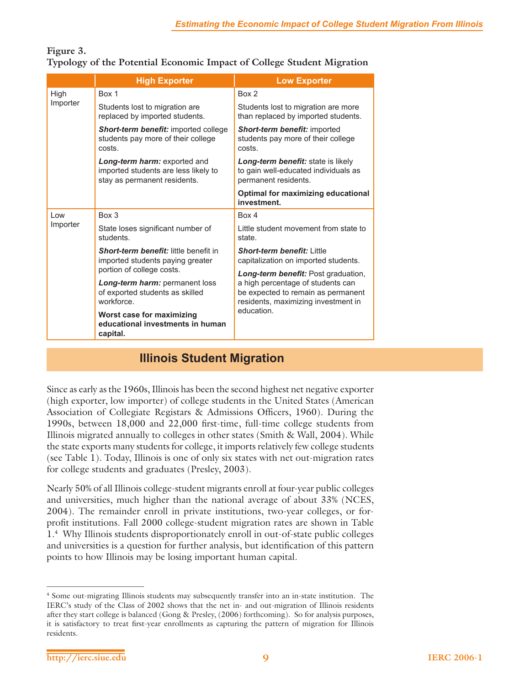## **Figure 3. Typology of the Potential Economic Impact of College Student Migration**

|          | <b>High Exporter</b>                                                                                 | <b>Low Exporter</b>                                                                                            |  |  |
|----------|------------------------------------------------------------------------------------------------------|----------------------------------------------------------------------------------------------------------------|--|--|
| High     | Box 1                                                                                                | Box 2                                                                                                          |  |  |
| Importer | Students lost to migration are<br>replaced by imported students.                                     | Students lost to migration are more<br>than replaced by imported students.                                     |  |  |
|          | <b>Short-term benefit:</b> imported college<br>students pay more of their college<br>costs.          | Short-term benefit: imported<br>students pay more of their college<br>costs.                                   |  |  |
|          | Long-term harm: exported and<br>imported students are less likely to<br>stay as permanent residents. | Long-term benefit: state is likely<br>to gain well-educated individuals as<br>permanent residents.             |  |  |
|          |                                                                                                      | <b>Optimal for maximizing educational</b><br>investment.                                                       |  |  |
| l ow     | Box 3                                                                                                | Box 4                                                                                                          |  |  |
| Importer | State loses significant number of<br>students.                                                       | Little student movement from state to<br>state.                                                                |  |  |
|          | <b>Short-term benefit:</b> little benefit in<br>imported students paying greater                     | <b>Short-term benefit: I ittle</b><br>capitalization on imported students.                                     |  |  |
|          | portion of college costs.                                                                            | Long-term benefit: Post graduation,                                                                            |  |  |
|          | Long-term harm: permanent loss<br>of exported students as skilled<br>workforce.                      | a high percentage of students can<br>be expected to remain as permanent<br>residents, maximizing investment in |  |  |
|          | Worst case for maximizing<br>educational investments in human<br>capital.                            | education.                                                                                                     |  |  |

# **Illinois Student Migration**

Since as early as the 1960s, Illinois has been the second highest net negative exporter (high exporter, low importer) of college students in the United States (American Association of Collegiate Registars & Admissions Officers, 1960). During the 1990s, between 18,000 and 22,000 first-time, full-time college students from Illinois migrated annually to colleges in other states (Smith & Wall, 2004). While the state exports many students for college, it imports relatively few college students (see Table 1). Today, Illinois is one of only six states with net out-migration rates for college students and graduates (Presley, 2003).

Nearly 50% of all Illinois college-student migrants enroll at four-year public colleges and universities, much higher than the national average of about 33% (NCES, 2004). The remainder enroll in private institutions, two-year colleges, or forprofit institutions. Fall 2000 college-student migration rates are shown in Table 1.4 Why Illinois students disproportionately enroll in out-of-state public colleges and universities is a question for further analysis, but identification of this pattern points to how Illinois may be losing important human capital.

<sup>4</sup> Some out-migrating Illinois students may subsequently transfer into an in-state institution. The IERC's study of the Class of 2002 shows that the net in- and out-migration of Illinois residents after they start college is balanced (Gong & Presley, (2006) forthcoming). So for analysis purposes, it is satisfactory to treat first-year enrollments as capturing the pattern of migration for Illinois residents.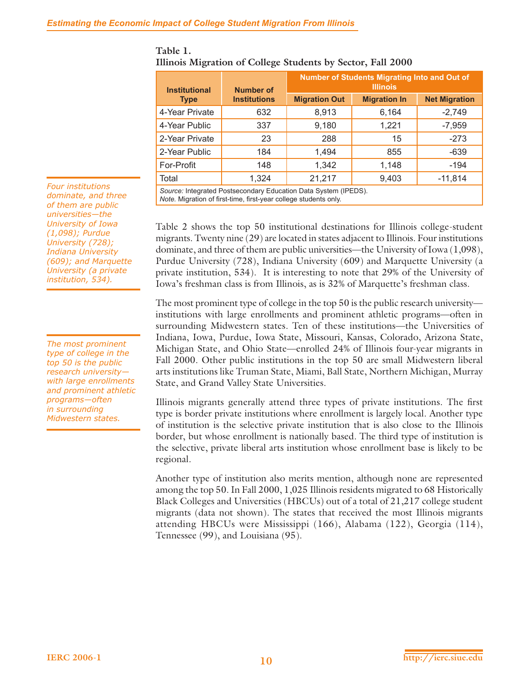| <b>Institutional</b>                                            | Number of           | Number of Students Migrating Into and Out of<br><b>Illinois</b> |                     |                      |  |  |
|-----------------------------------------------------------------|---------------------|-----------------------------------------------------------------|---------------------|----------------------|--|--|
| <b>Type</b>                                                     | <b>Institutions</b> | <b>Migration Out</b>                                            | <b>Migration In</b> | <b>Net Migration</b> |  |  |
| 4-Year Private                                                  | 632                 | 8,913                                                           | 6,164               | $-2,749$             |  |  |
| 4-Year Public                                                   | 337                 | 9,180                                                           | 1,221               | $-7,959$             |  |  |
| 2-Year Private                                                  | 23                  | 288                                                             | 15                  | $-273$               |  |  |
| 2-Year Public                                                   | 184                 | 1,494                                                           | 855                 | $-639$               |  |  |
| For-Profit                                                      | 148                 | 1,342                                                           | 1,148               | $-194$               |  |  |
| Total                                                           | 1,324               | 21,217                                                          | 9,403               | $-11,814$            |  |  |
| Source: Integrated Postsecondary Education Data System (IPEDS). |                     |                                                                 |                     |                      |  |  |

# **Table 1. Illinois Migration of College Students by Sector, Fall 2000**

*Note.* Migration of first-time, first-year college students only.

Table 2 shows the top 50 institutional destinations for Illinois college-student migrants. Twenty nine (29) are located in states adjacent to Illinois. Four institutions dominate, and three of them are public universities—the University of Iowa (1,098), Purdue University (728), Indiana University (609) and Marquette University (a private institution, 534). It is interesting to note that 29% of the University of Iowa's freshman class is from Illinois, as is 32% of Marquette's freshman class.

The most prominent type of college in the top 50 is the public research university institutions with large enrollments and prominent athletic programs—often in surrounding Midwestern states. Ten of these institutions—the Universities of Indiana, Iowa, Purdue, Iowa State, Missouri, Kansas, Colorado, Arizona State, Michigan State, and Ohio State—enrolled 24% of Illinois four-year migrants in Fall 2000. Other public institutions in the top 50 are small Midwestern liberal arts institutions like Truman State, Miami, Ball State, Northern Michigan, Murray State, and Grand Valley State Universities.

Illinois migrants generally attend three types of private institutions. The first type is border private institutions where enrollment is largely local. Another type of institution is the selective private institution that is also close to the Illinois border, but whose enrollment is nationally based. The third type of institution is the selective, private liberal arts institution whose enrollment base is likely to be regional.

Another type of institution also merits mention, although none are represented among the top 50. In Fall 2000, 1,025 Illinois residents migrated to 68 Historically Black Colleges and Universities (HBCUs) out of a total of 21,217 college student migrants (data not shown). The states that received the most Illinois migrants attending HBCUs were Mississippi (166), Alabama (122), Georgia (114), Tennessee (99), and Louisiana (95).

*Four institutions dominate, and three of them are public universities—the University of Iowa (1,098); Purdue University (728); Indiana University (609); and Marquette University (a private institution, 534).*

*The most prominent type of college in the top 50 is the public research university with large enrollments and prominent athletic programs—often in surrounding Midwestern states.*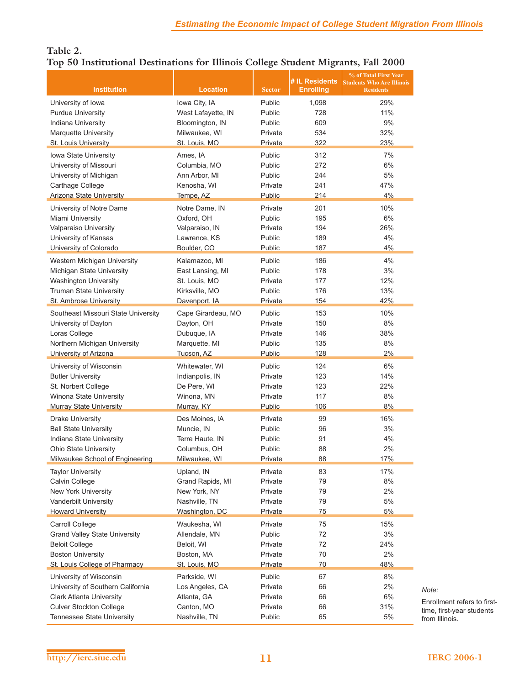# **Table 2. Top 50 Institutional Destinations for Illinois College Student Migrants, Fall 2000**

|                                      |                    |               | # IL Residents   | % of Total First Year<br><b>Students Who Are Illinois</b> |
|--------------------------------------|--------------------|---------------|------------------|-----------------------------------------------------------|
| <b>Institution</b>                   | <b>Location</b>    | <b>Sector</b> | <b>Enrolling</b> | <b>Residents</b>                                          |
| University of Iowa                   | Iowa City, IA      | Public        | 1,098            | 29%                                                       |
| <b>Purdue University</b>             | West Lafayette, IN | Public        | 728              | 11%                                                       |
| Indiana University                   | Bloomington, IN    | Public        | 609              | 9%                                                        |
| Marquette University                 | Milwaukee, WI      | Private       | 534              | 32%                                                       |
| St. Louis University                 | St. Louis, MO      | Private       | 322              | 23%                                                       |
| Iowa State University                | Ames, IA           | Public        | 312              | 7%                                                        |
| University of Missouri               | Columbia, MO       | Public        | 272              | 6%                                                        |
| University of Michigan               | Ann Arbor, MI      | Public        | 244              | 5%                                                        |
| Carthage College                     | Kenosha, WI        | Private       | 241              | 47%                                                       |
| <b>Arizona State University</b>      | Tempe, AZ          | Public        | 214              | 4%                                                        |
| University of Notre Dame             | Notre Dame, IN     | Private       | 201              | 10%                                                       |
| Miami University                     | Oxford, OH         | Public        | 195              | 6%                                                        |
| Valparaiso University                | Valparaiso, IN     | Private       | 194              | 26%                                                       |
| University of Kansas                 | Lawrence, KS       | Public        | 189              | 4%                                                        |
| University of Colorado               | Boulder, CO        | <b>Public</b> | 187              | 4%                                                        |
| Western Michigan University          | Kalamazoo, MI      | Public        | 186              | 4%                                                        |
| Michigan State University            | East Lansing, MI   | Public        | 178              | 3%                                                        |
| Washington University                | St. Louis, MO      | Private       | 177              | 12%                                                       |
| <b>Truman State University</b>       | Kirksville, MO     | Public        | 176              | 13%                                                       |
| St. Ambrose University               | Davenport, IA      | Private       | 154              | 42%                                                       |
| Southeast Missouri State University  | Cape Girardeau, MO | Public        | 153              | 10%                                                       |
| University of Dayton                 | Dayton, OH         | Private       | 150              | 8%                                                        |
| Loras College                        | Dubuque, IA        | Private       | 146              | 38%                                                       |
| Northern Michigan University         | Marquette, MI      | Public        | 135              | 8%                                                        |
| <b>University of Arizona</b>         | Tucson, AZ         | Public        | 128              | 2%                                                        |
| University of Wisconsin              | Whitewater, WI     | Public        | 124              | 6%                                                        |
| <b>Butler University</b>             | Indianpolis, IN    | Private       | 123              | 14%                                                       |
| St. Norbert College                  | De Pere, WI        | Private       | 123              | 22%                                                       |
| Winona State University              | Winona, MN         | Private       | 117              | 8%                                                        |
| <b>Murray State University</b>       | Murray, KY         | Public        | 106              | 8%                                                        |
| <b>Drake University</b>              | Des Moines, IA     | Private       | 99               | 16%                                                       |
| <b>Ball State University</b>         | Muncie, IN         | Public        | 96               | 3%                                                        |
| Indiana State University             | Terre Haute, IN    | Public        | 91               | 4%                                                        |
| <b>Ohio State University</b>         | Columbus, OH       | Public        | 88               | 2%                                                        |
| Milwaukee School of Engineering      | Milwaukee, WI      | Private       | 88               | 17%                                                       |
| <b>Taylor University</b>             | Upland, IN         | Private       | 83               | 17%                                                       |
| Calvin College                       | Grand Rapids, MI   | Private       | 79               | 8%                                                        |
| New York University                  | New York, NY       | Private       | 79               | 2%                                                        |
| Vanderbilt University                | Nashville, TN      | Private       | 79               | 5%                                                        |
| <b>Howard University</b>             | Washington, DC     | Private       | 75               | 5%                                                        |
| Carroll College                      | Waukesha, WI       | Private       | 75               | 15%                                                       |
| <b>Grand Valley State University</b> | Allendale, MN      | Public        | 72               | 3%                                                        |
| <b>Beloit College</b>                | Beloit, WI         | Private       | 72               | 24%                                                       |
| <b>Boston University</b>             | Boston, MA         | Private       | 70               | 2%                                                        |
| St. Louis College of Pharmacy        | St. Louis, MO      | Private       | 70               | 48%                                                       |
| University of Wisconsin              | Parkside, WI       | Public        | 67               | 8%                                                        |
| University of Southern California    | Los Angeles, CA    | Private       | 66               | 2%                                                        |
| <b>Clark Atlanta University</b>      | Atlanta, GA        | Private       | 66               | 6%                                                        |
| <b>Culver Stockton College</b>       | Canton, MO         | Private       | 66               | 31%                                                       |
| Tennessee State University           | Nashville, TN      | Public        | 65               | 5%                                                        |

Enrollment refers to firsttime, first-year students from Illinois.

*Note:*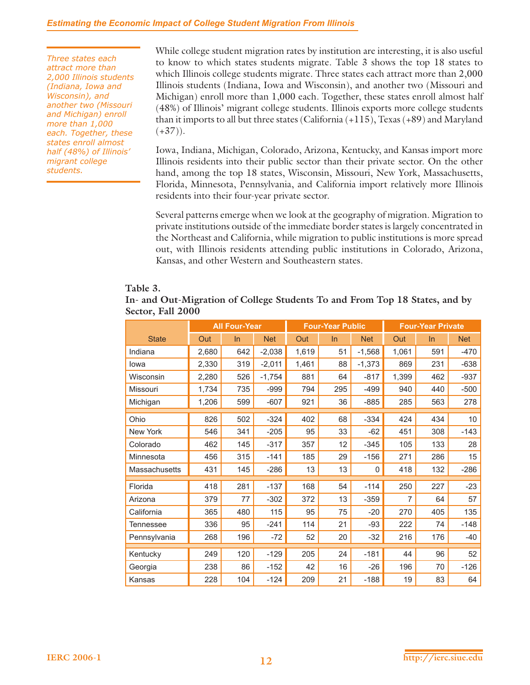#### *Estimating the Economic Impact of College Student Migration From Illinois*

*Three states each attract more than 2,000 Illinois students (Indiana, Iowa and Wisconsin), and another two (Missouri and Michigan) enroll more than 1,000 each. Together, these states enroll almost half (48%) of Illinois' migrant college students.*

While college student migration rates by institution are interesting, it is also useful to know to which states students migrate. Table 3 shows the top 18 states to which Illinois college students migrate. Three states each attract more than 2,000 Illinois students (Indiana, Iowa and Wisconsin), and another two (Missouri and Michigan) enroll more than 1,000 each. Together, these states enroll almost half (48%) of Illinois' migrant college students. Illinois exports more college students than it imports to all but three states (California (+115), Texas (+89) and Maryland  $(+37)$ ).

Iowa, Indiana, Michigan, Colorado, Arizona, Kentucky, and Kansas import more Illinois residents into their public sector than their private sector. On the other hand, among the top 18 states, Wisconsin, Missouri, New York, Massachusetts, Florida, Minnesota, Pennsylvania, and California import relatively more Illinois residents into their four-year private sector.

Several patterns emerge when we look at the geography of migration. Migration to private institutions outside of the immediate border states is largely concentrated in the Northeast and California, while migration to public institutions is more spread out, with Illinois residents attending public institutions in Colorado, Arizona, Kansas, and other Western and Southeastern states.

#### **Table 3.**

| In- and Out-Migration of College Students To and From Top 18 States, and by |  |  |
|-----------------------------------------------------------------------------|--|--|
| Sector, Fall 2000                                                           |  |  |

|               | <b>All Four-Year</b> |       | <b>Four-Year Public</b> |       |     | <b>Four-Year Private</b> |       |     |            |
|---------------|----------------------|-------|-------------------------|-------|-----|--------------------------|-------|-----|------------|
| <b>State</b>  | Out                  | $\ln$ | <b>Net</b>              | Out   | In  | <b>Net</b>               | Out   | In  | <b>Net</b> |
| Indiana       | 2,680                | 642   | $-2,038$                | 1,619 | 51  | $-1,568$                 | 1,061 | 591 | $-470$     |
| lowa          | 2,330                | 319   | $-2,011$                | 1,461 | 88  | $-1,373$                 | 869   | 231 | $-638$     |
| Wisconsin     | 2,280                | 526   | $-1,754$                | 881   | 64  | $-817$                   | 1,399 | 462 | $-937$     |
| Missouri      | 1,734                | 735   | $-999$                  | 794   | 295 | -499                     | 940   | 440 | $-500$     |
| Michigan      | 1,206                | 599   | $-607$                  | 921   | 36  | $-885$                   | 285   | 563 | 278        |
| Ohio          | 826                  | 502   | $-324$                  | 402   | 68  | $-334$                   | 424   | 434 | 10         |
| New York      | 546                  | 341   | $-205$                  | 95    | 33  | $-62$                    | 451   | 308 | $-143$     |
| Colorado      | 462                  | 145   | $-317$                  | 357   | 12  | $-345$                   | 105   | 133 | 28         |
| Minnesota     | 456                  | 315   | $-141$                  | 185   | 29  | $-156$                   | 271   | 286 | 15         |
| Massachusetts | 431                  | 145   | $-286$                  | 13    | 13  | $\mathbf{0}$             | 418   | 132 | $-286$     |
| Florida       | 418                  | 281   | $-137$                  | 168   | 54  | $-114$                   | 250   | 227 | $-23$      |
| Arizona       | 379                  | 77    | $-302$                  | 372   | 13  | $-359$                   | 7     | 64  | 57         |
| California    | 365                  | 480   | 115                     | 95    | 75  | $-20$                    | 270   | 405 | 135        |
| Tennessee     | 336                  | 95    | $-241$                  | 114   | 21  | $-93$                    | 222   | 74  | $-148$     |
| Pennsylvania  | 268                  | 196   | $-72$                   | 52    | 20  | $-32$                    | 216   | 176 | $-40$      |
| Kentucky      | 249                  | 120   | $-129$                  | 205   | 24  | $-181$                   | 44    | 96  | 52         |
| Georgia       | 238                  | 86    | $-152$                  | 42    | 16  | $-26$                    | 196   | 70  | $-126$     |
| Kansas        | 228                  | 104   | $-124$                  | 209   | 21  | $-188$                   | 19    | 83  | 64         |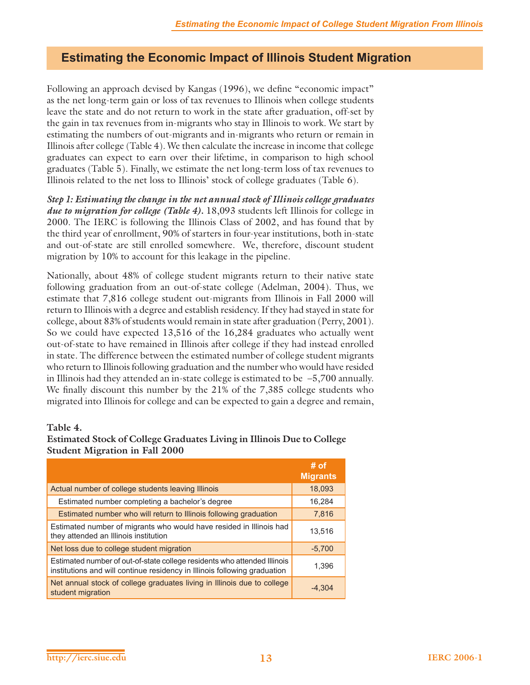# **Estimating the Economic Impact of Illinois Student Migration**

Following an approach devised by Kangas (1996), we define "economic impact" as the net long-term gain or loss of tax revenues to Illinois when college students leave the state and do not return to work in the state after graduation, off-set by the gain in tax revenues from in-migrants who stay in Illinois to work. We start by estimating the numbers of out-migrants and in-migrants who return or remain in Illinois after college (Table 4). We then calculate the increase in income that college graduates can expect to earn over their lifetime, in comparison to high school graduates (Table 5). Finally, we estimate the net long-term loss of tax revenues to Illinois related to the net loss to Illinois' stock of college graduates (Table 6).

*Step 1: Estimating the change in the net annual stock of Illinois college graduates due to migration for college (Table 4).* 18,093 students left Illinois for college in 2000. The IERC is following the Illinois Class of 2002, and has found that by the third year of enrollment, 90% of starters in four-year institutions, both in-state and out-of-state are still enrolled somewhere. We, therefore, discount student migration by 10% to account for this leakage in the pipeline.

Nationally, about 48% of college student migrants return to their native state following graduation from an out-of-state college (Adelman, 2004). Thus, we estimate that 7,816 college student out-migrants from Illinois in Fall 2000 will return to Illinois with a degree and establish residency. If they had stayed in state for college, about 83% of students would remain in state after graduation (Perry, 2001). So we could have expected 13,516 of the 16,284 graduates who actually went out-of-state to have remained in Illinois after college if they had instead enrolled in state. The difference between the estimated number of college student migrants who return to Illinois following graduation and the number who would have resided in Illinois had they attended an in-state college is estimated to be  $-5,700$  annually. We finally discount this number by the  $21\%$  of the  $7,385$  college students who migrated into Illinois for college and can be expected to gain a degree and remain,

#### **Table 4.**

| Estimated Stock of College Graduates Living in Illinois Due to College |        |
|------------------------------------------------------------------------|--------|
| <b>Student Migration in Fall 2000</b>                                  |        |
|                                                                        | ี # ດf |

|                                                                                                                                                       | # от<br><b>Migrants</b> |
|-------------------------------------------------------------------------------------------------------------------------------------------------------|-------------------------|
| Actual number of college students leaving Illinois                                                                                                    | 18,093                  |
| Estimated number completing a bachelor's degree                                                                                                       | 16,284                  |
| Estimated number who will return to Illinois following graduation                                                                                     | 7,816                   |
| Estimated number of migrants who would have resided in Illinois had<br>they attended an Illinois institution                                          | 13,516                  |
| Net loss due to college student migration                                                                                                             | $-5,700$                |
| Estimated number of out-of-state college residents who attended Illinois<br>institutions and will continue residency in Illinois following graduation | 1,396                   |
| Net annual stock of college graduates living in Illinois due to college<br>student migration                                                          | $-4,304$                |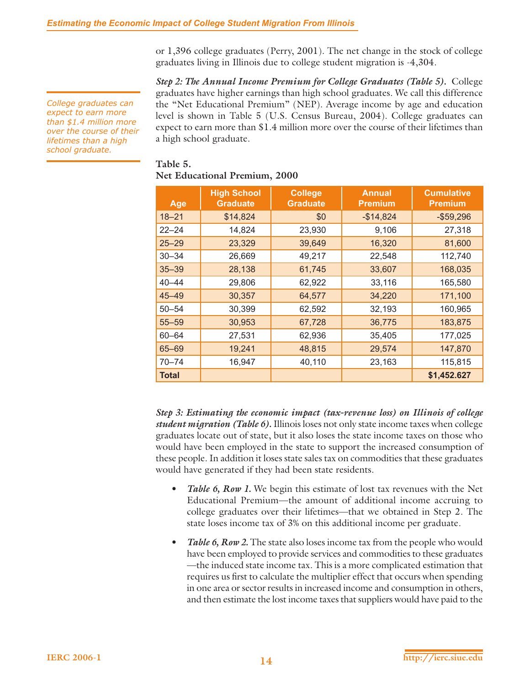or 1,396 college graduates (Perry, 2001). The net change in the stock of college graduates living in Illinois due to college student migration is -4,304.

*Step 2: The Annual Income Premium for College Graduates (Table 5).* College graduates have higher earnings than high school graduates. We call this difference the "Net Educational Premium" (NEP). Average income by age and education level is shown in Table 5 (U.S. Census Bureau, 2004). College graduates can expect to earn more than \$1.4 million more over the course of their lifetimes than a high school graduate.

#### **Table 5. Net Educational Premium, 2000**

| Age       | <b>High School</b><br><b>Graduate</b> | <b>College</b><br><b>Graduate</b> | <b>Annual</b><br><b>Premium</b> | <b>Cumulative</b><br><b>Premium</b> |
|-----------|---------------------------------------|-----------------------------------|---------------------------------|-------------------------------------|
| $18 - 21$ | \$14,824                              | \$0                               | $-$14,824$                      | $-$ \$59,296                        |
| $22 - 24$ | 14,824                                | 23,930                            | 9,106                           | 27,318                              |
| $25 - 29$ | 23,329                                | 39,649                            | 16,320                          | 81,600                              |
| $30 - 34$ | 26,669                                | 49,217                            | 22,548                          | 112,740                             |
| $35 - 39$ | 28,138                                | 61,745                            | 33,607                          | 168,035                             |
| $40 - 44$ | 29,806                                | 62,922                            | 33,116                          | 165,580                             |
| $45 - 49$ | 30,357                                | 64,577                            | 34,220                          | 171,100                             |
| $50 - 54$ | 30,399                                | 62,592                            | 32,193                          | 160,965                             |
| $55 - 59$ | 30,953                                | 67,728                            | 36,775                          | 183,875                             |
| $60 - 64$ | 27,531                                | 62,936                            | 35,405                          | 177,025                             |
| $65 - 69$ | 19,241                                | 48,815                            | 29,574                          | 147,870                             |
| $70 - 74$ | 16,947                                | 40,110                            | 23,163                          | 115,815                             |
| Total     |                                       |                                   |                                 | \$1,452.627                         |

*Step 3: Estimating the economic impact (tax-revenue loss) on Illinois of college student migration (Table 6).* Illinois loses not only state income taxes when college graduates locate out of state, but it also loses the state income taxes on those who would have been employed in the state to support the increased consumption of these people. In addition it loses state sales tax on commodities that these graduates would have generated if they had been state residents.

- *Table 6, Row 1.* We begin this estimate of lost tax revenues with the Net Educational Premium—the amount of additional income accruing to college graduates over their lifetimes—that we obtained in Step 2. The state loses income tax of 3% on this additional income per graduate.
- *Table 6, Row 2.* The state also loses income tax from the people who would have been employed to provide services and commodities to these graduates —the induced state income tax. This is a more complicated estimation that requires us first to calculate the multiplier effect that occurs when spending in one area or sector results in increased income and consumption in others, and then estimate the lost income taxes that suppliers would have paid to the

*College graduates can expect to earn more than \$1.4 million more over the course of their lifetimes than a high school graduate.*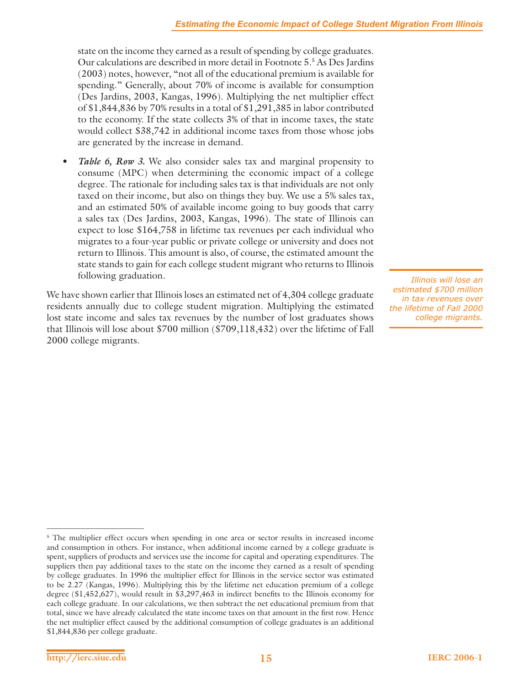state on the income they earned as a result of spending by college graduates. Our calculations are described in more detail in Footnote 5.5 As Des Jardins (2003) notes, however, "not all of the educational premium is available for spending." Generally, about 70% of income is available for consumption (Des Jardins, 2003, Kangas, 1996). Multiplying the net multiplier effect of \$1,844,836 by 70% results in a total of \$1,291,385 in labor contributed to the economy. If the state collects 3% of that in income taxes, the state would collect \$38,742 in additional income taxes from those whose jobs are generated by the increase in demand.

*Table 6, Row 3.* We also consider sales tax and marginal propensity to consume (MPC) when determining the economic impact of a college degree. The rationale for including sales tax is that individuals are not only taxed on their income, but also on things they buy. We use a 5% sales tax, and an estimated 50% of available income going to buy goods that carry a sales tax (Des Jardins, 2003, Kangas, 1996). The state of Illinois can expect to lose \$164,758 in lifetime tax revenues per each individual who migrates to a four-year public or private college or university and does not return to Illinois. This amount is also, of course, the estimated amount the state stands to gain for each college student migrant who returns to Illinois following graduation.

We have shown earlier that Illinois loses an estimated net of 4,304 college graduate residents annually due to college student migration. Multiplying the estimated lost state income and sales tax revenues by the number of lost graduates shows that Illinois will lose about \$700 million (\$709,118,432) over the lifetime of Fall 2000 college migrants.

*Illinois will lose an estimated \$700 million in tax revenues over the lifetime of Fall 2000 college migrants.*

<sup>&</sup>lt;sup>5</sup> The multiplier effect occurs when spending in one area or sector results in increased income and consumption in others. For instance, when additional income earned by a college graduate is spent, suppliers of products and services use the income for capital and operating expenditures. The suppliers then pay additional taxes to the state on the income they earned as a result of spending by college graduates. In 1996 the multiplier effect for Illinois in the service sector was estimated to be 2.27 (Kangas, 1996). Multiplying this by the lifetime net education premium of a college degree (\$1,452,627), would result in \$3,297,463 in indirect benefits to the Illinois economy for each college graduate. In our calculations, we then subtract the net educational premium from that total, since we have already calculated the state income taxes on that amount in the first row. Hence the net multiplier effect caused by the additional consumption of college graduates is an additional \$1,844,836 per college graduate.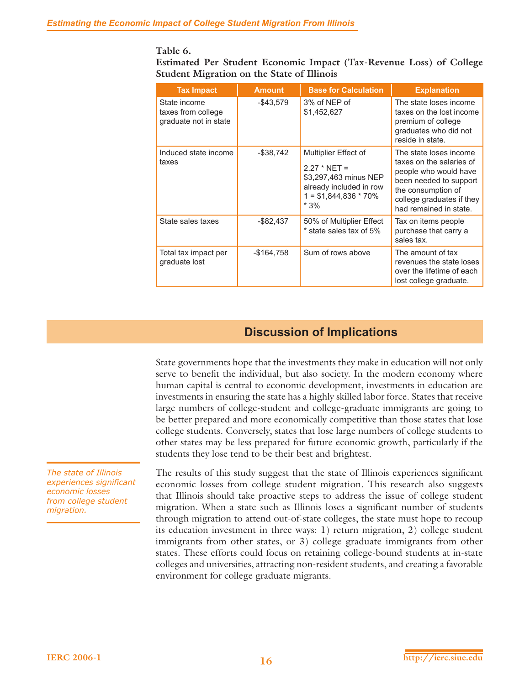#### **Table 6.**

**Estimated Per Student Economic Impact (Tax-Revenue Loss) of College Student Migration on the State of Illinois**

| <b>Tax Impact</b>                                           | <b>Amount</b> | <b>Base for Calculation</b>                                                                                                    | <b>Explanation</b>                                                                                                                                                                 |
|-------------------------------------------------------------|---------------|--------------------------------------------------------------------------------------------------------------------------------|------------------------------------------------------------------------------------------------------------------------------------------------------------------------------------|
| State income<br>taxes from college<br>graduate not in state | $-$ \$43,579  | 3% of NEP of<br>\$1,452,627                                                                                                    | The state loses income<br>taxes on the lost income<br>premium of college<br>graduates who did not<br>reside in state.                                                              |
| Induced state income<br>taxes                               | $-$ \$38,742  | Multiplier Effect of<br>$2.27 * NET =$<br>\$3,297,463 minus NEP<br>already included in row<br>$1 = $1,844,836 * 70\%$<br>$*3%$ | The state loses income<br>taxes on the salaries of<br>people who would have<br>been needed to support<br>the consumption of<br>college graduates if they<br>had remained in state. |
| State sales taxes                                           | $-$ \$82,437  | 50% of Multiplier Effect<br>* state sales tax of 5%                                                                            | Tax on items people<br>purchase that carry a<br>sales tax.                                                                                                                         |
| Total tax impact per<br>graduate lost                       | -\$164,758    | Sum of rows above                                                                                                              | The amount of tax<br>revenues the state loses<br>over the lifetime of each<br>lost college graduate.                                                                               |

# **Discussion of Implications**

State governments hope that the investments they make in education will not only serve to benefit the individual, but also society. In the modern economy where human capital is central to economic development, investments in education are investments in ensuring the state has a highly skilled labor force. States that receive large numbers of college-student and college-graduate immigrants are going to be better prepared and more economically competitive than those states that lose college students. Conversely, states that lose large numbers of college students to other states may be less prepared for future economic growth, particularly if the students they lose tend to be their best and brightest.

The results of this study suggest that the state of Illinois experiences significant economic losses from college student migration. This research also suggests that Illinois should take proactive steps to address the issue of college student migration. When a state such as Illinois loses a significant number of students through migration to attend out-of-state colleges, the state must hope to recoup its education investment in three ways: 1) return migration, 2) college student immigrants from other states, or 3) college graduate immigrants from other states. These efforts could focus on retaining college-bound students at in-state colleges and universities, attracting non-resident students, and creating a favorable environment for college graduate migrants.

*The state of Illinois experiences signifi cant economic losses from college student migration.*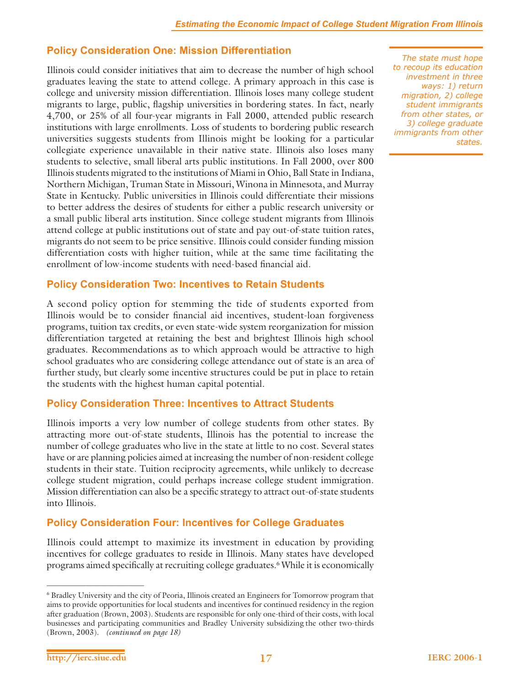# **Policy Consideration One: Mission Differentiation**

Illinois could consider initiatives that aim to decrease the number of high school graduates leaving the state to attend college. A primary approach in this case is college and university mission differentiation. Illinois loses many college student migrants to large, public, flagship universities in bordering states. In fact, nearly 4,700, or 25% of all four-year migrants in Fall 2000, attended public research institutions with large enrollments. Loss of students to bordering public research universities suggests students from Illinois might be looking for a particular collegiate experience unavailable in their native state. Illinois also loses many students to selective, small liberal arts public institutions. In Fall 2000, over 800 Illinois students migrated to the institutions of Miami in Ohio, Ball State in Indiana, Northern Michigan, Truman State in Missouri, Winona in Minnesota, and Murray State in Kentucky. Public universities in Illinois could differentiate their missions to better address the desires of students for either a public research university or a small public liberal arts institution. Since college student migrants from Illinois attend college at public institutions out of state and pay out-of-state tuition rates, migrants do not seem to be price sensitive. Illinois could consider funding mission differentiation costs with higher tuition, while at the same time facilitating the enrollment of low-income students with need-based financial aid.

# **Policy Consideration Two: Incentives to Retain Students**

A second policy option for stemming the tide of students exported from Illinois would be to consider financial aid incentives, student-loan forgiveness programs, tuition tax credits, or even state-wide system reorganization for mission differentiation targeted at retaining the best and brightest Illinois high school graduates. Recommendations as to which approach would be attractive to high school graduates who are considering college attendance out of state is an area of further study, but clearly some incentive structures could be put in place to retain the students with the highest human capital potential.

# **Policy Consideration Three: Incentives to Attract Students**

Illinois imports a very low number of college students from other states. By attracting more out-of-state students, Illinois has the potential to increase the number of college graduates who live in the state at little to no cost. Several states have or are planning policies aimed at increasing the number of non-resident college students in their state. Tuition reciprocity agreements, while unlikely to decrease college student migration, could perhaps increase college student immigration. Mission differentiation can also be a specific strategy to attract out-of-state students into Illinois.

# **Policy Consideration Four: Incentives for College Graduates**

Illinois could attempt to maximize its investment in education by providing incentives for college graduates to reside in Illinois. Many states have developed programs aimed specifically at recruiting college graduates.<sup>6</sup> While it is economically

*The state must hope to recoup its education investment in three ways: 1) return migration, 2) college student immigrants from other states, or 3) college graduate immigrants from other states.*

<sup>6</sup> Bradley University and the city of Peoria, Illinois created an Engineers for Tomorrow program that aims to provide opportunities for local students and incentives for continued residency in the region after graduation (Brown, 2003). Students are responsible for only one-third of their costs, with local businesses and participating communities and Bradley University subsidizing the other two-thirds (Brown, 2003). *(continued on page 18)*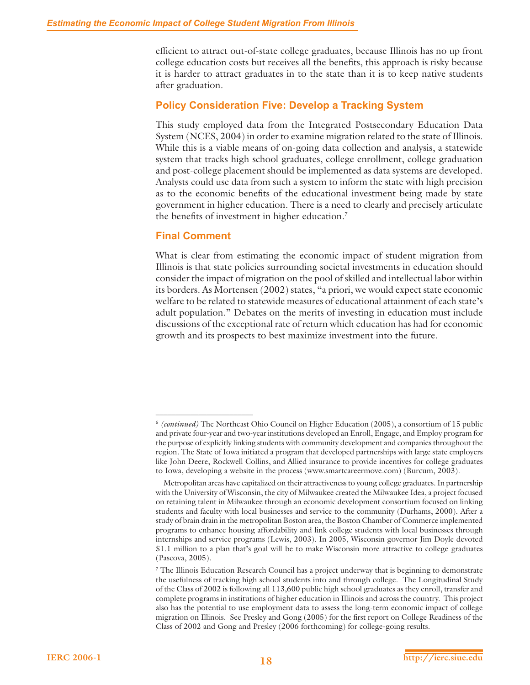efficient to attract out-of-state college graduates, because Illinois has no up front college education costs but receives all the benefits, this approach is risky because it is harder to attract graduates in to the state than it is to keep native students after graduation.

# **Policy Consideration Five: Develop a Tracking System**

This study employed data from the Integrated Postsecondary Education Data System (NCES, 2004) in order to examine migration related to the state of Illinois. While this is a viable means of on-going data collection and analysis, a statewide system that tracks high school graduates, college enrollment, college graduation and post-college placement should be implemented as data systems are developed. Analysts could use data from such a system to inform the state with high precision as to the economic benefits of the educational investment being made by state government in higher education. There is a need to clearly and precisely articulate the benefits of investment in higher education. $7$ 

## **Final Comment**

\_\_\_\_\_\_\_\_\_\_\_\_\_\_\_\_\_\_\_\_\_\_\_\_\_

What is clear from estimating the economic impact of student migration from Illinois is that state policies surrounding societal investments in education should consider the impact of migration on the pool of skilled and intellectual labor within its borders. As Mortensen (2002) states, "a priori, we would expect state economic welfare to be related to statewide measures of educational attainment of each state's adult population." Debates on the merits of investing in education must include discussions of the exceptional rate of return which education has had for economic growth and its prospects to best maximize investment into the future.

<sup>6</sup> *(continued)* The Northeast Ohio Council on Higher Education (2005), a consortium of 15 public and private four-year and two-year institutions developed an Enroll, Engage, and Employ program for the purpose of explicitly linking students with community development and companies throughout the region. The State of Iowa initiated a program that developed partnerships with large state employers like John Deere, Rockwell Collins, and Allied insurance to provide incentives for college graduates to Iowa, developing a website in the process (www.smartcareermove.com) (Burcum, 2003).

Metropolitan areas have capitalized on their attractiveness to young college graduates. In partnership with the University of Wisconsin, the city of Milwaukee created the Milwaukee Idea, a project focused on retaining talent in Milwaukee through an economic development consortium focused on linking students and faculty with local businesses and service to the community (Durhams, 2000). After a study of brain drain in the metropolitan Boston area, the Boston Chamber of Commerce implemented programs to enhance housing affordability and link college students with local businesses through internships and service programs (Lewis, 2003). In 2005, Wisconsin governor Jim Doyle devoted \$1.1 million to a plan that's goal will be to make Wisconsin more attractive to college graduates (Pascova, 2005).

<sup>7</sup> The Illinois Education Research Council has a project underway that is beginning to demonstrate the usefulness of tracking high school students into and through college. The Longitudinal Study of the Class of 2002 is following all 113,600 public high school graduates as they enroll, transfer and complete programs in institutions of higher education in Illinois and across the country. This project also has the potential to use employment data to assess the long-term economic impact of college migration on Illinois. See Presley and Gong (2005) for the first report on College Readiness of the Class of 2002 and Gong and Presley (2006 forthcoming) for college-going results.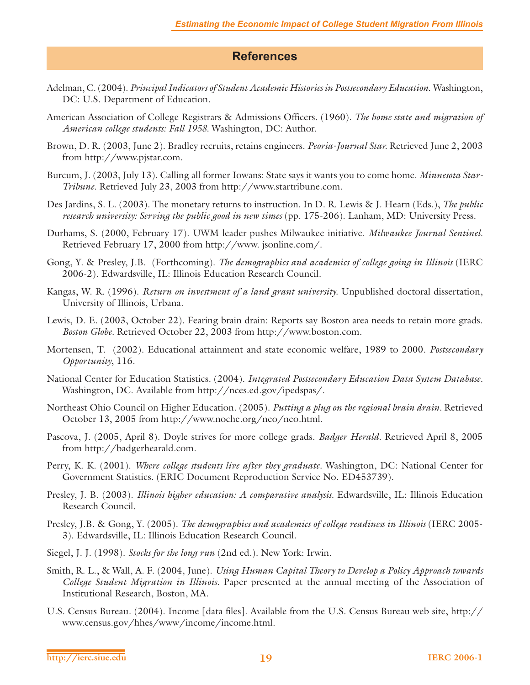# **References**

- Adelman, C. (2004). *Principal Indicators of Student Academic Histories in Postsecondary Education.* Washington, DC: U.S. Department of Education.
- American Association of College Registrars & Admissions Officers. (1960). *The home state and migration of American college students: Fall 1958.* Washington, DC: Author.
- Brown, D. R. (2003, June 2). Bradley recruits, retains engineers. *Peoria-Journal Star.* Retrieved June 2, 2003 from http://www.pjstar.com.
- Burcum, J. (2003, July 13). Calling all former Iowans: State says it wants you to come home. *Minnesota Star-Tribune.* Retrieved July 23, 2003 from http://www.startribune.com.
- Des Jardins, S. L. (2003). The monetary returns to instruction. In D. R. Lewis & J. Hearn (Eds.), *The public research university: Serving the public good in new times* (pp. 175-206). Lanham, MD: University Press.
- Durhams, S. (2000, February 17). UWM leader pushes Milwaukee initiative. *Milwaukee Journal Sentinel.*  Retrieved February 17, 2000 from http://www. jsonline.com/.
- Gong, Y. & Presley, J.B. (Forthcoming). *The demographics and academics of college going in Illinois* (IERC 2006-2). Edwardsville, IL: Illinois Education Research Council.
- Kangas, W. R. (1996). *Return on investment of a land grant university.* Unpublished doctoral dissertation, University of Illinois, Urbana.
- Lewis, D. E. (2003, October 22). Fearing brain drain: Reports say Boston area needs to retain more grads. *Boston Globe.* Retrieved October 22, 2003 from http://www.boston.com.
- Mortensen, T. (2002). Educational attainment and state economic welfare, 1989 to 2000. *Postsecondary Opportunity*, 116.
- National Center for Education Statistics. (2004). *Integrated Postsecondary Education Data System Database.* Washington, DC. Available from http://nces.ed.gov/ipedspas/.
- Northeast Ohio Council on Higher Education. (2005). *Putting a plug on the regional brain drain.* Retrieved October 13, 2005 from http://www.noche.org/neo/neo.html.
- Pascova, J. (2005, April 8). Doyle strives for more college grads. *Badger Herald.* Retrieved April 8, 2005 from http://badgerhearald.com.
- Perry, K. K. (2001). *Where college students live after they graduate.* Washington, DC: National Center for Government Statistics. (ERIC Document Reproduction Service No. ED453739).
- Presley, J. B. (2003). *Illinois higher education: A comparative analysis.* Edwardsville, IL: Illinois Education Research Council.
- Presley, J.B. & Gong, Y. (2005). *The demographics and academics of college readiness in Illinois* (IERC 2005- 3). Edwardsville, IL: Illinois Education Research Council.
- Siegel, J. J. (1998). *Stocks for the long run* (2nd ed.). New York: Irwin.
- Smith, R. L., & Wall, A. F. (2004, June). *Using Human Capital Theory to Develop a Policy Approach towards College Student Migration in Illinois.* Paper presented at the annual meeting of the Association of Institutional Research, Boston, MA.
- U.S. Census Bureau. (2004). Income [data files]. Available from the U.S. Census Bureau web site, http:// www.census.gov/hhes/www/income/income.html.

**http://ierc.siue.edu 19 IERC 2006-1**